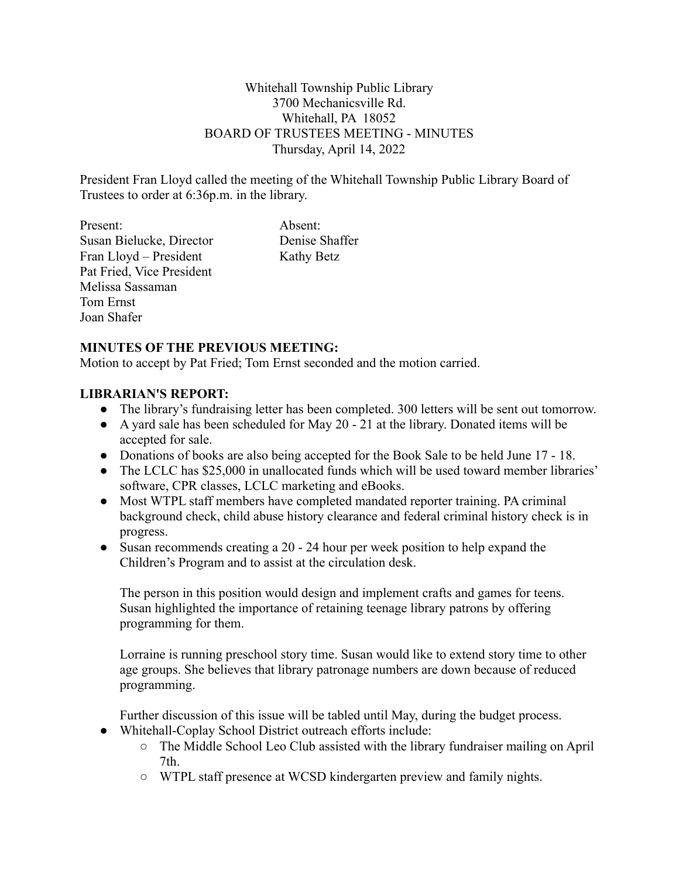Whitehall Township Public Library 3700 Mechanicsville Rd. Whitehall, PA 18052 BOARD OF TRUSTEES MEETING - MINUTES Thursday, April 14, 2022

President Fran Lloyd called the meeting of the Whitehall Township Public Library Board of Trustees to order at 6:36p.m. in the library.

Present: Absent: Susan Bielucke, Director Denise Shaffer Fran Lloyd – President Kathy Betz Pat Fried, Vice President Melissa Sassaman Tom Ernst Joan Shafer

### **MINUTES OF THE PREVIOUS MEETING:**

Motion to accept by Pat Fried; Tom Ernst seconded and the motion carried.

### **LIBRARIAN'S REPORT:**

- The library's fundraising letter has been completed. 300 letters will be sent out tomorrow.
- A yard sale has been scheduled for May 20 21 at the library. Donated items will be accepted for sale.
- Donations of books are also being accepted for the Book Sale to be held June 17 18.
- The LCLC has \$25,000 in unallocated funds which will be used toward member libraries' software, CPR classes, LCLC marketing and eBooks.
- Most WTPL staff members have completed mandated reporter training. PA criminal background check, child abuse history clearance and federal criminal history check is in progress.
- Susan recommends creating a 20 24 hour per week position to help expand the Children's Program and to assist at the circulation desk.

The person in this position would design and implement crafts and games for teens. Susan highlighted the importance of retaining teenage library patrons by offering programming for them.

Lorraine is running preschool story time. Susan would like to extend story time to other age groups. She believes that library patronage numbers are down because of reduced programming.

Further discussion of this issue will be tabled until May, during the budget process.

- Whitehall-Coplay School District outreach efforts include:
	- The Middle School Leo Club assisted with the library fundraiser mailing on April 7th.
	- WTPL staff presence at WCSD kindergarten preview and family nights.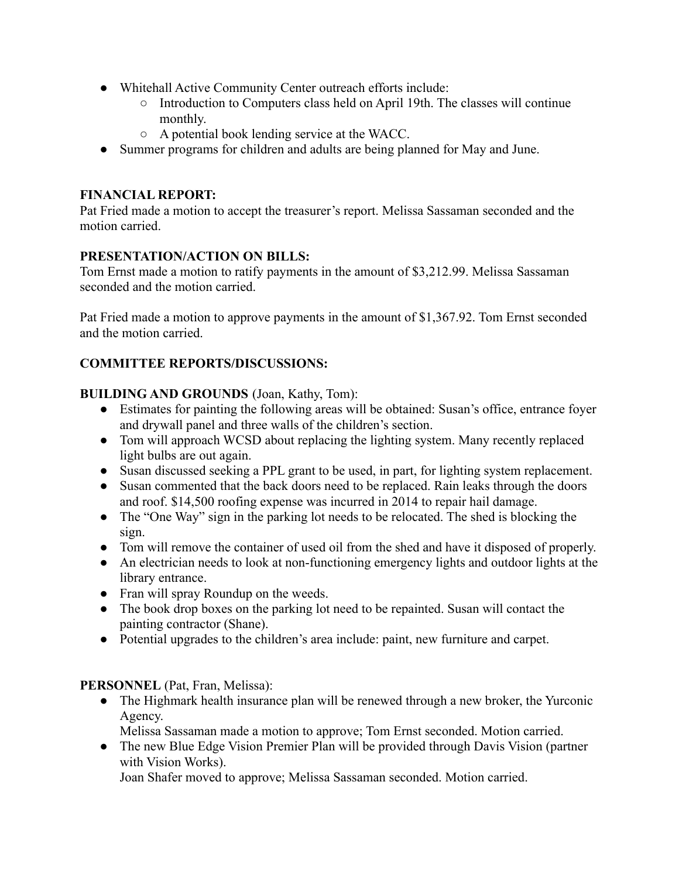- Whitehall Active Community Center outreach efforts include:
	- Introduction to Computers class held on April 19th. The classes will continue monthly.
	- A potential book lending service at the WACC.
- Summer programs for children and adults are being planned for May and June.

# **FINANCIAL REPORT:**

Pat Fried made a motion to accept the treasurer's report. Melissa Sassaman seconded and the motion carried.

# **PRESENTATION/ACTION ON BILLS:**

Tom Ernst made a motion to ratify payments in the amount of \$3,212.99. Melissa Sassaman seconded and the motion carried.

Pat Fried made a motion to approve payments in the amount of \$1,367.92. Tom Ernst seconded and the motion carried.

# **COMMITTEE REPORTS/DISCUSSIONS:**

# **BUILDING AND GROUNDS** (Joan, Kathy, Tom):

- Estimates for painting the following areas will be obtained: Susan's office, entrance foyer and drywall panel and three walls of the children's section.
- Tom will approach WCSD about replacing the lighting system. Many recently replaced light bulbs are out again.
- Susan discussed seeking a PPL grant to be used, in part, for lighting system replacement.
- Susan commented that the back doors need to be replaced. Rain leaks through the doors and roof. \$14,500 roofing expense was incurred in 2014 to repair hail damage.
- The "One Way" sign in the parking lot needs to be relocated. The shed is blocking the sign.
- Tom will remove the container of used oil from the shed and have it disposed of properly.
- An electrician needs to look at non-functioning emergency lights and outdoor lights at the library entrance.
- Fran will spray Roundup on the weeds.
- The book drop boxes on the parking lot need to be repainted. Susan will contact the painting contractor (Shane).
- Potential upgrades to the children's area include: paint, new furniture and carpet.

# **PERSONNEL** (Pat, Fran, Melissa):

• The Highmark health insurance plan will be renewed through a new broker, the Yurconic Agency.

Melissa Sassaman made a motion to approve; Tom Ernst seconded. Motion carried.

• The new Blue Edge Vision Premier Plan will be provided through Davis Vision (partner with Vision Works).

Joan Shafer moved to approve; Melissa Sassaman seconded. Motion carried.